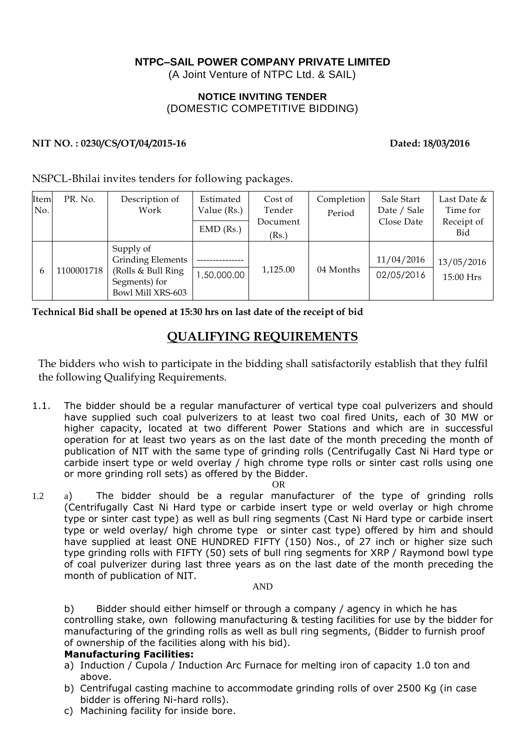## **NTPC–SAIL POWER COMPANY PRIVATE LIMITED**

(A Joint Venture of NTPC Ltd. & SAIL)

### **NOTICE INVITING TENDER** (DOMESTIC COMPETITIVE BIDDING)

#### NIT NO.: 0230/CS/OT/04/2015-16 Dated: 18/03/2016

NSPCL-Bhilai invites tenders for following packages.

| Item<br>No. | PR. No.   | Description of<br>Work                                                                            | Estimated<br>Value (Rs.)<br>$EMD$ (Rs.) | Cost of<br>Tender<br>Document<br>(Rs.) | Completion<br>Period | Sale Start<br>Date / Sale<br>Close Date | Last Date &<br>Time for<br>Receipt of<br>Bid |
|-------------|-----------|---------------------------------------------------------------------------------------------------|-----------------------------------------|----------------------------------------|----------------------|-----------------------------------------|----------------------------------------------|
| 6           | 100001718 | Supply of<br><b>Grinding Elements</b><br>(Rolls & Bull Ring<br>Segments) for<br>Bowl Mill XRS-603 | 00.000,00, ا                            | 1,125.00                               | 04 Months            | 11/04/2016<br>02/05/2016                | 13/05/2016<br>15:00 Hrs                      |

**Technical Bid shall be opened at 15:30 hrs on last date of the receipt of bid**

# **QUALIFYING REQUIREMENTS**

The bidders who wish to participate in the bidding shall satisfactorily establish that they fulfil the following Qualifying Requirements.

1.1. The bidder should be a regular manufacturer of vertical type coal pulverizers and should have supplied such coal pulverizers to at least two coal fired Units, each of 30 MW or higher capacity, located at two different Power Stations and which are in successful operation for at least two years as on the last date of the month preceding the month of publication of NIT with the same type of grinding rolls (Centrifugally Cast Ni Hard type or carbide insert type or weld overlay / high chrome type rolls or sinter cast rolls using one or more grinding roll sets) as offered by the Bidder.

OR

1.2 a) The bidder should be a regular manufacturer of the type of grinding rolls (Centrifugally Cast Ni Hard type or carbide insert type or weld overlay or high chrome type or sinter cast type) as well as bull ring segments (Cast Ni Hard type or carbide insert type or weld overlay/ high chrome type or sinter cast type) offered by him and should have supplied at least ONE HUNDRED FIFTY (150) Nos., of 27 inch or higher size such type grinding rolls with FIFTY (50) sets of bull ring segments for XRP / Raymond bowl type of coal pulverizer during last three years as on the last date of the month preceding the month of publication of NIT.

#### AND

b) Bidder should either himself or through a company / agency in which he has controlling stake, own following manufacturing & testing facilities for use by the bidder for manufacturing of the grinding rolls as well as bull ring segments, (Bidder to furnish proof of ownership of the facilities along with his bid).

#### **Manufacturing Facilities:**

- a) Induction / Cupola / Induction Arc Furnace for melting iron of capacity 1.0 ton and above.
- b) Centrifugal casting machine to accommodate grinding rolls of over 2500 Kg (in case bidder is offering Ni-hard rolls).
- c) Machining facility for inside bore.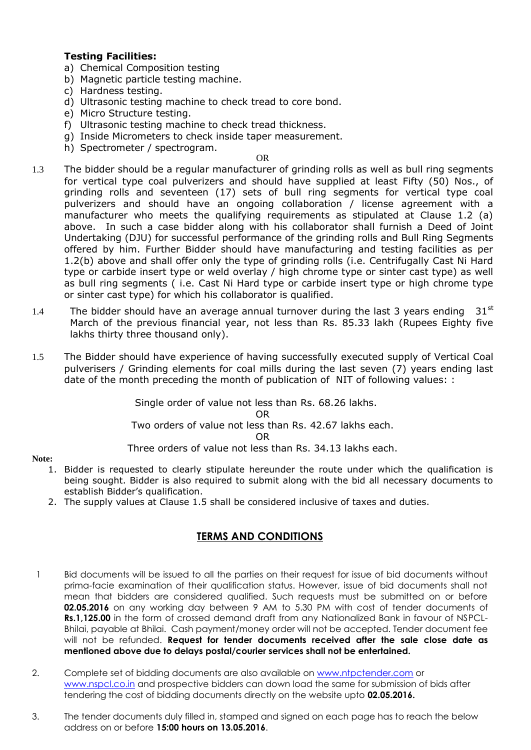### **Testing Facilities:**

- a) Chemical Composition testing
- b) Magnetic particle testing machine.
- c) Hardness testing.
- d) Ultrasonic testing machine to check tread to core bond.
- e) Micro Structure testing.
- f) Ultrasonic testing machine to check tread thickness.
- g) Inside Micrometers to check inside taper measurement.
- h) Spectrometer / spectrogram.

OR

- 1.3 The bidder should be a regular manufacturer of grinding rolls as well as bull ring segments for vertical type coal pulverizers and should have supplied at least Fifty (50) Nos., of grinding rolls and seventeen (17) sets of bull ring segments for vertical type coal pulverizers and should have an ongoing collaboration / license agreement with a manufacturer who meets the qualifying requirements as stipulated at Clause 1.2 (a) above. In such a case bidder along with his collaborator shall furnish a Deed of Joint Undertaking (DJU) for successful performance of the grinding rolls and Bull Ring Segments offered by him. Further Bidder should have manufacturing and testing facilities as per 1.2(b) above and shall offer only the type of grinding rolls (i.e. Centrifugally Cast Ni Hard type or carbide insert type or weld overlay / high chrome type or sinter cast type) as well as bull ring segments ( i.e. Cast Ni Hard type or carbide insert type or high chrome type or sinter cast type) for which his collaborator is qualified.
- 1.4 The bidder should have an average annual turnover during the last 3 years ending  $31<sup>st</sup>$ March of the previous financial year, not less than Rs. 85.33 lakh (Rupees Eighty five lakhs thirty three thousand only).
- 1.5 The Bidder should have experience of having successfully executed supply of Vertical Coal pulverisers / Grinding elements for coal mills during the last seven (7) years ending last date of the month preceding the month of publication of NIT of following values: :

 Single order of value not less than Rs. 68.26 lakhs. OR Two orders of value not less than Rs. 42.67 lakhs each. OR

Three orders of value not less than Rs. 34.13 lakhs each.

#### **Note:**

- 1. Bidder is requested to clearly stipulate hereunder the route under which the qualification is being sought. Bidder is also required to submit along with the bid all necessary documents to establish Bidder's qualification.
- 2. The supply values at Clause 1.5 shall be considered inclusive of taxes and duties.

## **TERMS AND CONDITIONS**

- 1 Bid documents will be issued to all the parties on their request for issue of bid documents without prima-facie examination of their qualification status. However, issue of bid documents shall not mean that bidders are considered qualified. Such requests must be submitted on or before **02.05.2016** on any working day between 9 AM to 5.30 PM with cost of tender documents of **Rs.1,125.00** in the form of crossed demand draft from any Nationalized Bank in favour of NSPCL-Bhilai, payable at Bhilai. Cash payment/money order will not be accepted. Tender document fee will not be refunded. **Request for tender documents received after the sale close date as mentioned above due to delays postal/courier services shall not be entertained.**
- 2. Complete set of bidding documents are also available on [www.ntpctender.com](http://www.ntpctender.com/) or [www.nspcl.co.in](http://www.nspcl.co.in/) and prospective bidders can down load the same for submission of bids after tendering the cost of bidding documents directly on the website upto **02.05.2016.**
- 3. The tender documents duly filled in, stamped and signed on each page has to reach the below address on or before **15:00 hours on 13.05.2016**.